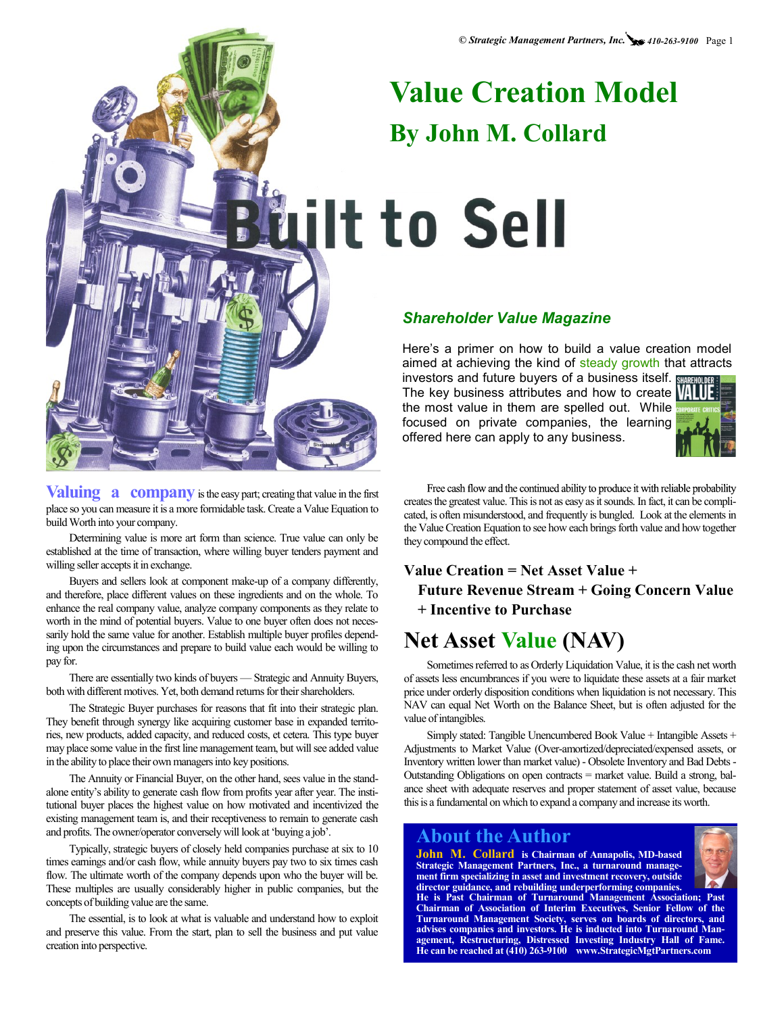# **Value Creation Model By John M. Collard**

**Wilt to Sell** 

#### *Shareholder Value Magazine*

Here's a primer on how to build a value creation model aimed at achieving the kind of steady growth that attracts investors and future buyers of a business itself.

The key business attributes and how to create VIIII the most value in them are spelled out. While focused on private companies, the learning offered here can apply to any business.



Free cash flow and the continued ability to produce it with reliable probability creates the greatest value. This is not as easy as it sounds. In fact, it can be complicated, is often misunderstood, and frequently is bungled. Look at the elements in the Value Creation Equation to see how each brings forth value and how together they compound the effect.

#### **Value Creation = Net Asset Value + Future Revenue Stream + Going Concern Value + Incentive to Purchase**

# **Net Asset Value (NAV)**

Sometimes referred to as Orderly Liquidation Value, it is the cash net worth of assets less encumbrances if you were to liquidate these assets at a fair market price under orderly disposition conditions when liquidation is not necessary. This NAV can equal Net Worth on the Balance Sheet, but is often adjusted for the value of intangibles.

Simply stated: Tangible Unencumbered Book Value + Intangible Assets + Adjustments to Market Value (Over-amortized/depreciated/expensed assets, or Inventory written lower than market value) - Obsolete Inventory and Bad Debts - Outstanding Obligations on open contracts = market value. Build a strong, balance sheet with adequate reserves and proper statement of asset value, because this is a fundamental on which to expand a company and increase its worth.

**He is Past Chairman of Turnaround Management Association; Past Chairman of Association of Interim Executives, Senior Fellow of the Turnaround Management Society, serves on boards of directors, and advises companies and investors. He is inducted into Turnaround Management, Restructuring, Distressed Investing Industry Hall of Fame. He can be reached at (410) 263-9100 www.StrategicMgtPartners.com**

#### **About the Author**

**John M. Collard is Chairman of Annapolis, MD-based Strategic Management Partners, Inc., a turnaround management firm specializing in asset and investment recovery, outside director guidance, and rebuilding underperforming companies.** 



**Valuing a company** is the easy part; creating that value in the first place so you can measure it is a more formidable task. Create a Value Equation to build Worth into your company.

Determining value is more art form than science. True value can only be established at the time of transaction, where willing buyer tenders payment and willing seller accepts it in exchange.

Buyers and sellers look at component make-up of a company differently, and therefore, place different values on these ingredients and on the whole. To enhance the real company value, analyze company components as they relate to worth in the mind of potential buyers. Value to one buyer often does not necessarily hold the same value for another. Establish multiple buyer profiles depending upon the circumstances and prepare to build value each would be willing to pay for.

There are essentially two kinds of buyers — Strategic and Annuity Buyers, both with different motives. Yet, both demand returns for their shareholders.

The Strategic Buyer purchases for reasons that fit into their strategic plan. They benefit through synergy like acquiring customer base in expanded territories, new products, added capacity, and reduced costs, et cetera. This type buyer may place some value in the first line management team, but will see added value in the ability to place their own managers into key positions.

The Annuity or Financial Buyer, on the other hand, sees value in the standalone entity's ability to generate cash flow from profits year after year. The institutional buyer places the highest value on how motivated and incentivized the existing management team is, and their receptiveness to remain to generate cash and profits. The owner/operator conversely will look at 'buying a job'.

Typically, strategic buyers of closely held companies purchase at six to 10 times earnings and/or cash flow, while annuity buyers pay two to six times cash flow. The ultimate worth of the company depends upon who the buyer will be. These multiples are usually considerably higher in public companies, but the concepts of building value are the same.

The essential, is to look at what is valuable and understand how to exploit and preserve this value. From the start, plan to sell the business and put value creation into perspective.